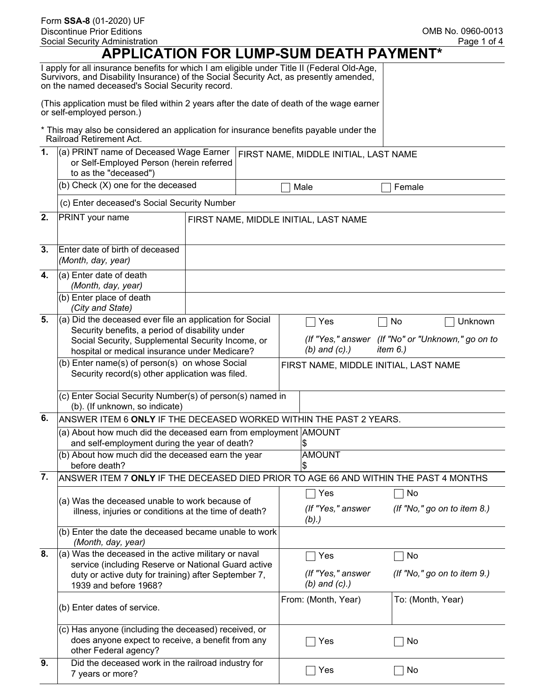## **APPLICATION FOR LUMP-SUM DEATH PAYMENT\***

| I apply for all insurance benefits for which I am eligible under Title II (Federal Old-Age,<br>Survivors, and Disability Insurance) of the Social Security Act, as presently amended,<br>on the named deceased's Social Security record. |                                                                                                                                                       |  |                                       |                                                                                        |                                         |  |                   |                             |  |
|------------------------------------------------------------------------------------------------------------------------------------------------------------------------------------------------------------------------------------------|-------------------------------------------------------------------------------------------------------------------------------------------------------|--|---------------------------------------|----------------------------------------------------------------------------------------|-----------------------------------------|--|-------------------|-----------------------------|--|
| (This application must be filed within 2 years after the date of death of the wage earner<br>or self-employed person.)                                                                                                                   |                                                                                                                                                       |  |                                       |                                                                                        |                                         |  |                   |                             |  |
| * This may also be considered an application for insurance benefits payable under the<br>Railroad Retirement Act.                                                                                                                        |                                                                                                                                                       |  |                                       |                                                                                        |                                         |  |                   |                             |  |
| $\mathbf{1}$ .                                                                                                                                                                                                                           | (a) PRINT name of Deceased Wage Earner<br>or Self-Employed Person (herein referred<br>to as the "deceased")                                           |  | FIRST NAME, MIDDLE INITIAL, LAST NAME |                                                                                        |                                         |  |                   |                             |  |
|                                                                                                                                                                                                                                          | (b) Check (X) one for the deceased                                                                                                                    |  | Male                                  |                                                                                        |                                         |  |                   |                             |  |
| (c) Enter deceased's Social Security Number                                                                                                                                                                                              |                                                                                                                                                       |  |                                       |                                                                                        |                                         |  |                   |                             |  |
| 2.                                                                                                                                                                                                                                       | PRINT your name                                                                                                                                       |  | FIRST NAME, MIDDLE INITIAL, LAST NAME |                                                                                        |                                         |  |                   |                             |  |
| 3.                                                                                                                                                                                                                                       | Enter date of birth of deceased<br>(Month, day, year)                                                                                                 |  |                                       |                                                                                        |                                         |  |                   |                             |  |
| 4.                                                                                                                                                                                                                                       | (a) Enter date of death<br>(Month, day, year)                                                                                                         |  |                                       |                                                                                        |                                         |  |                   |                             |  |
|                                                                                                                                                                                                                                          | (b) Enter place of death<br>(City and State)                                                                                                          |  |                                       |                                                                                        |                                         |  |                   |                             |  |
| 5.                                                                                                                                                                                                                                       | (a) Did the deceased ever file an application for Social                                                                                              |  |                                       |                                                                                        | Yes                                     |  | No                | Unknown                     |  |
|                                                                                                                                                                                                                                          | Security benefits, a period of disability under<br>Social Security, Supplemental Security Income, or<br>hospital or medical insurance under Medicare? |  |                                       | (If "Yes," answer (If "No" or "Unknown," go on to<br>$(b)$ and $(c)$ .)<br>item $6.$ ) |                                         |  |                   |                             |  |
|                                                                                                                                                                                                                                          | (b) Enter name(s) of person(s) on whose Social<br>Security record(s) other application was filed.                                                     |  |                                       | FIRST NAME, MIDDLE INITIAL, LAST NAME                                                  |                                         |  |                   |                             |  |
| (c) Enter Social Security Number(s) of person(s) named in<br>(b). (If unknown, so indicate)                                                                                                                                              |                                                                                                                                                       |  |                                       |                                                                                        |                                         |  |                   |                             |  |
| 6.                                                                                                                                                                                                                                       | ANSWER ITEM 6 ONLY IF THE DECEASED WORKED WITHIN THE PAST 2 YEARS.                                                                                    |  |                                       |                                                                                        |                                         |  |                   |                             |  |
| (a) About how much did the deceased earn from employment AMOUNT<br>and self-employment during the year of death?                                                                                                                         |                                                                                                                                                       |  |                                       |                                                                                        | \$                                      |  |                   |                             |  |
|                                                                                                                                                                                                                                          | (b) About how much did the deceased earn the year<br>before death?                                                                                    |  |                                       |                                                                                        | <b>AMOUNT</b><br>\$                     |  |                   |                             |  |
| 7.                                                                                                                                                                                                                                       | ANSWER ITEM 7 ONLY IF THE DECEASED DIED PRIOR TO AGE 66 AND WITHIN THE PAST 4 MONTHS                                                                  |  |                                       |                                                                                        |                                         |  |                   |                             |  |
|                                                                                                                                                                                                                                          | (a) Was the deceased unable to work because of<br>illness, injuries or conditions at the time of death?                                               |  |                                       |                                                                                        | Yes                                     |  | No                |                             |  |
|                                                                                                                                                                                                                                          |                                                                                                                                                       |  |                                       |                                                                                        | (If "Yes," answer<br>(b).               |  |                   | (If "No," go on to item 8.) |  |
|                                                                                                                                                                                                                                          | (b) Enter the date the deceased became unable to work<br>(Month, day, year)                                                                           |  |                                       |                                                                                        |                                         |  |                   |                             |  |
| 8.                                                                                                                                                                                                                                       | (a) Was the deceased in the active military or naval<br>service (including Reserve or National Guard active                                           |  |                                       |                                                                                        | Yes                                     |  | No                |                             |  |
|                                                                                                                                                                                                                                          | duty or active duty for training) after September 7,<br>1939 and before 1968?                                                                         |  |                                       |                                                                                        | (If "Yes," answer<br>$(b)$ and $(c)$ .) |  |                   | (If "No," go on to item 9.) |  |
|                                                                                                                                                                                                                                          | (b) Enter dates of service.                                                                                                                           |  |                                       |                                                                                        | From: (Month, Year)                     |  | To: (Month, Year) |                             |  |
|                                                                                                                                                                                                                                          | (c) Has anyone (including the deceased) received, or<br>does anyone expect to receive, a benefit from any<br>other Federal agency?                    |  |                                       |                                                                                        | Yes                                     |  | No                |                             |  |
| 9.                                                                                                                                                                                                                                       | Did the deceased work in the railroad industry for<br>7 years or more?                                                                                |  |                                       |                                                                                        | Yes                                     |  | No                |                             |  |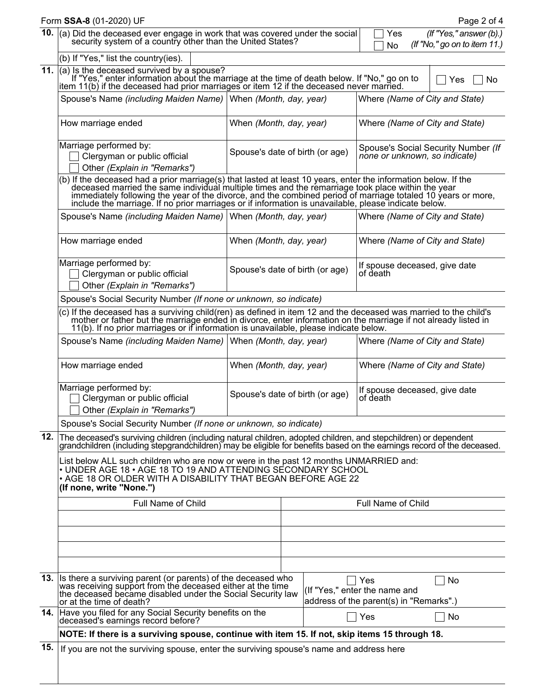|                                                                                                                                                                                                                                                   | Form SSA-8 (01-2020) UF                                                                                                                                                                                                                                                                                                                                                                                                                  |                                 |                                                                          |           |  |                                                                    | Page 2 of 4                    |  |  |
|---------------------------------------------------------------------------------------------------------------------------------------------------------------------------------------------------------------------------------------------------|------------------------------------------------------------------------------------------------------------------------------------------------------------------------------------------------------------------------------------------------------------------------------------------------------------------------------------------------------------------------------------------------------------------------------------------|---------------------------------|--------------------------------------------------------------------------|-----------|--|--------------------------------------------------------------------|--------------------------------|--|--|
| 10.                                                                                                                                                                                                                                               | $\vert$ (a) Did the deceased ever engage in work that was covered under the social<br>security system of a country other than the United States?                                                                                                                                                                                                                                                                                         |                                 |                                                                          | Yes<br>No |  | $($ f "Yes," answer $(b)$ . $)$<br>(If "No," go on to item $11$ .) |                                |  |  |
|                                                                                                                                                                                                                                                   | (b) If "Yes," list the country(ies).                                                                                                                                                                                                                                                                                                                                                                                                     |                                 |                                                                          |           |  |                                                                    |                                |  |  |
|                                                                                                                                                                                                                                                   | $\overline{11.}$ (a) Is the deceased survived by a spouse?<br>If "Yes," enter information about the marriage at the time of death below. If "No," go on to<br>Yes<br>No<br>item 11(b) if the deceased had prior marriages or item 12 if the deceased never married.                                                                                                                                                                      |                                 |                                                                          |           |  |                                                                    |                                |  |  |
|                                                                                                                                                                                                                                                   | Spouse's Name (including Maiden Name)   When (Month, day, year)                                                                                                                                                                                                                                                                                                                                                                          |                                 | Where (Name of City and State)                                           |           |  |                                                                    |                                |  |  |
|                                                                                                                                                                                                                                                   | How marriage ended                                                                                                                                                                                                                                                                                                                                                                                                                       | When (Month, day, year)         | Where (Name of City and State)                                           |           |  |                                                                    |                                |  |  |
|                                                                                                                                                                                                                                                   | Marriage performed by:<br>Clergyman or public official<br>Other (Explain in "Remarks")                                                                                                                                                                                                                                                                                                                                                   | Spouse's date of birth (or age) | Spouse's Social Security Number (If<br>none or unknown, so indicate)     |           |  |                                                                    |                                |  |  |
|                                                                                                                                                                                                                                                   | (b) If the deceased had a prior marriage(s) that lasted at least 10 years, enter the information below. If the<br>deceased married the same individual multiple times and the remarriage took place within the year<br>immediately following the year of the divorce, and the combined period of marriage totaled 10 years or more, include the marriage. If no prior marriages or if information is unavailable, please indicate below. |                                 |                                                                          |           |  |                                                                    |                                |  |  |
|                                                                                                                                                                                                                                                   | Spouse's Name (including Maiden Name) When (Month, day, year)                                                                                                                                                                                                                                                                                                                                                                            |                                 |                                                                          |           |  |                                                                    | Where (Name of City and State) |  |  |
|                                                                                                                                                                                                                                                   | How marriage ended                                                                                                                                                                                                                                                                                                                                                                                                                       | When (Month, day, year)         |                                                                          |           |  |                                                                    | Where (Name of City and State) |  |  |
|                                                                                                                                                                                                                                                   | Marriage performed by:<br>Clergyman or public official<br>Other (Explain in "Remarks")                                                                                                                                                                                                                                                                                                                                                   | Spouse's date of birth (or age) | If spouse deceased, give date<br>of death                                |           |  |                                                                    |                                |  |  |
|                                                                                                                                                                                                                                                   | Spouse's Social Security Number (If none or unknown, so indicate)                                                                                                                                                                                                                                                                                                                                                                        |                                 |                                                                          |           |  |                                                                    |                                |  |  |
|                                                                                                                                                                                                                                                   | (c) If the deceased has a surviving child(ren) as defined in item 12 and the deceased was married to the child's mother or father but the marriage ended in divorce, enter information on the marriage if not already listed i                                                                                                                                                                                                           |                                 |                                                                          |           |  |                                                                    |                                |  |  |
|                                                                                                                                                                                                                                                   | Spouse's Name (including Maiden Name)   When (Month, day, year)                                                                                                                                                                                                                                                                                                                                                                          |                                 | Where (Name of City and State)                                           |           |  |                                                                    |                                |  |  |
|                                                                                                                                                                                                                                                   | How marriage ended                                                                                                                                                                                                                                                                                                                                                                                                                       | When (Month, day, year)         |                                                                          |           |  |                                                                    | Where (Name of City and State) |  |  |
|                                                                                                                                                                                                                                                   | Marriage performed by:<br>Clergyman or public official<br>Other (Explain in "Remarks")                                                                                                                                                                                                                                                                                                                                                   | Spouse's date of birth (or age) | If spouse deceased, give date<br>of death                                |           |  |                                                                    |                                |  |  |
|                                                                                                                                                                                                                                                   | Spouse's Social Security Number (If none or unknown, so indicate)                                                                                                                                                                                                                                                                                                                                                                        |                                 |                                                                          |           |  |                                                                    |                                |  |  |
| 12.                                                                                                                                                                                                                                               | The deceased's surviving children (including natural children, adopted children, and stepchildren) or dependent<br>grandchildren (including stepgrandchildren) may be eligible for benefits based on the earnings record of the d                                                                                                                                                                                                        |                                 |                                                                          |           |  |                                                                    |                                |  |  |
|                                                                                                                                                                                                                                                   |                                                                                                                                                                                                                                                                                                                                                                                                                                          |                                 |                                                                          |           |  |                                                                    |                                |  |  |
| List below ALL such children who are now or were in the past 12 months UNMARRIED and:<br>• UNDER AGE 18 • AGE 18 TO 19 AND ATTENDING SECONDARY SCHOOL<br>. AGE 18 OR OLDER WITH A DISABILITY THAT BEGAN BEFORE AGE 22<br>(If none, write "None.") |                                                                                                                                                                                                                                                                                                                                                                                                                                          |                                 |                                                                          |           |  |                                                                    |                                |  |  |
|                                                                                                                                                                                                                                                   | Full Name of Child                                                                                                                                                                                                                                                                                                                                                                                                                       |                                 | Full Name of Child                                                       |           |  |                                                                    |                                |  |  |
|                                                                                                                                                                                                                                                   |                                                                                                                                                                                                                                                                                                                                                                                                                                          |                                 |                                                                          |           |  |                                                                    |                                |  |  |
|                                                                                                                                                                                                                                                   |                                                                                                                                                                                                                                                                                                                                                                                                                                          |                                 |                                                                          |           |  |                                                                    |                                |  |  |
|                                                                                                                                                                                                                                                   | 13. Is there a surviving parent (or parents) of the deceased who was receiving support from the deceased either at the time the deceased became disabled under the Social Security law<br>or at the time of death?                                                                                                                                                                                                                       |                                 | (If "Yes," enter the name and<br>address of the parent(s) in "Remarks".) | Yes       |  |                                                                    | No                             |  |  |
|                                                                                                                                                                                                                                                   | 14. Have you filed for any Social Security benefits on the deceased's earnings record before?                                                                                                                                                                                                                                                                                                                                            |                                 | Yes                                                                      |           |  | No                                                                 |                                |  |  |
|                                                                                                                                                                                                                                                   | NOTE: If there is a surviving spouse, continue with item 15. If not, skip items 15 through 18.                                                                                                                                                                                                                                                                                                                                           |                                 |                                                                          |           |  |                                                                    |                                |  |  |
| 15.                                                                                                                                                                                                                                               | If you are not the surviving spouse, enter the surviving spouse's name and address here                                                                                                                                                                                                                                                                                                                                                  |                                 |                                                                          |           |  |                                                                    |                                |  |  |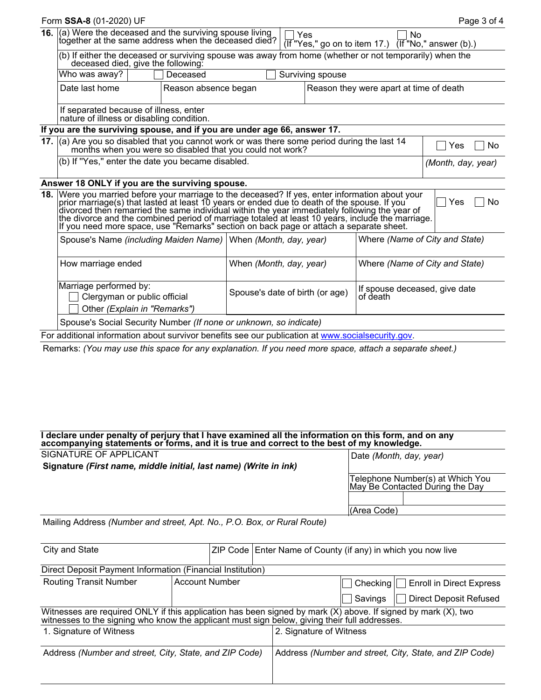|                                                   | Form SSA-8 (01-2020) UF                                                                                                                                                                                                                                                                                                                                                                                                                   |                              |                                         |  |  |                                           | Page 3 of 4                         |  |
|---------------------------------------------------|-------------------------------------------------------------------------------------------------------------------------------------------------------------------------------------------------------------------------------------------------------------------------------------------------------------------------------------------------------------------------------------------------------------------------------------------|------------------------------|-----------------------------------------|--|--|-------------------------------------------|-------------------------------------|--|
| 16.                                               | (a) Were the deceased and the surviving spouse living<br>together at the same address when the deceased died?<br>Yes<br>$(\overline{\text{If}}$ "Yes," go on to item 17.)                                                                                                                                                                                                                                                                 |                              |                                         |  |  | No                                        | $(\overline{If}$ "No," answer (b).) |  |
|                                                   | (b) If either the deceased or surviving spouse was away from home (whether or not temporarily) when the<br>deceased died, give the following:                                                                                                                                                                                                                                                                                             |                              |                                         |  |  |                                           |                                     |  |
|                                                   | Who was away?                                                                                                                                                                                                                                                                                                                                                                                                                             | Deceased<br>Surviving spouse |                                         |  |  |                                           |                                     |  |
|                                                   | Date last home                                                                                                                                                                                                                                                                                                                                                                                                                            | Reason absence began         | Reason they were apart at time of death |  |  |                                           |                                     |  |
|                                                   | If separated because of illness, enter<br>nature of illness or disabling condition.                                                                                                                                                                                                                                                                                                                                                       |                              |                                         |  |  |                                           |                                     |  |
|                                                   | If you are the surviving spouse, and if you are under age 66, answer 17.                                                                                                                                                                                                                                                                                                                                                                  |                              |                                         |  |  |                                           |                                     |  |
|                                                   | 17. (a) Are you so disabled that you cannot work or was there some period during the last 14<br>months when you were so disabled that you could not work?                                                                                                                                                                                                                                                                                 | No<br>Yes                    |                                         |  |  |                                           |                                     |  |
| (b) If "Yes," enter the date you became disabled. |                                                                                                                                                                                                                                                                                                                                                                                                                                           |                              |                                         |  |  |                                           | (Month, day, year)                  |  |
|                                                   | Answer 18 ONLY if you are the surviving spouse.                                                                                                                                                                                                                                                                                                                                                                                           |                              |                                         |  |  |                                           |                                     |  |
|                                                   | 18. Were you married before your marriage to the deceased? If yes, enter information about your prior marriage(s) that lasted at least 10 years or ended due to death of the spouse. If you divorced then remarried the same i<br>Yes<br>No<br>the divorce and the combined period of marriage totaled at least 10 years, include the marriage.<br>If you need more space, use "Remarks" section on back page or attach a separate sheet. |                              |                                         |  |  |                                           |                                     |  |
|                                                   | Spouse's Name (including Maiden Name) When (Month, day, year)                                                                                                                                                                                                                                                                                                                                                                             |                              |                                         |  |  | Where (Name of City and State)            |                                     |  |
|                                                   | How marriage ended                                                                                                                                                                                                                                                                                                                                                                                                                        |                              | When (Month, day, year)                 |  |  | Where (Name of City and State)            |                                     |  |
|                                                   | Marriage performed by:<br>Clergyman or public official<br>Other (Explain in "Remarks")                                                                                                                                                                                                                                                                                                                                                    |                              | Spouse's date of birth (or age)         |  |  | If spouse deceased, give date<br>of death |                                     |  |
|                                                   | Spouse's Social Security Number (If none or unknown, so indicate)                                                                                                                                                                                                                                                                                                                                                                         |                              |                                         |  |  |                                           |                                     |  |
|                                                   | For additional information about survivor benefits see our publication at www.socialsecurity.gov.                                                                                                                                                                                                                                                                                                                                         |                              |                                         |  |  |                                           |                                     |  |

Remarks: *(You may use this space for any explanation. If you need more space, attach a separate sheet.)*

**I declare under penalty of perjury that I have examined all the information on this form, and on any** 

| accompanying statements or forms, and it is true and correct to the best of my knowledge.                                                                                                                      |  |  |                         |                                                                     |             |                                 |  |  |
|----------------------------------------------------------------------------------------------------------------------------------------------------------------------------------------------------------------|--|--|-------------------------|---------------------------------------------------------------------|-------------|---------------------------------|--|--|
| SIGNATURE OF APPLICANT                                                                                                                                                                                         |  |  | Date (Month, day, year) |                                                                     |             |                                 |  |  |
| Signature (First name, middle initial, last name) (Write in ink)                                                                                                                                               |  |  |                         |                                                                     |             |                                 |  |  |
|                                                                                                                                                                                                                |  |  |                         | Telephone Number(s) at Which You<br>May Be Contacted During the Day |             |                                 |  |  |
|                                                                                                                                                                                                                |  |  |                         |                                                                     |             |                                 |  |  |
|                                                                                                                                                                                                                |  |  |                         |                                                                     | (Area Code) |                                 |  |  |
| Mailing Address (Number and street, Apt. No., P.O. Box, or Rural Route)                                                                                                                                        |  |  |                         |                                                                     |             |                                 |  |  |
|                                                                                                                                                                                                                |  |  |                         |                                                                     |             |                                 |  |  |
| City and State                                                                                                                                                                                                 |  |  |                         | ZIP Code   Enter Name of County (if any) in which you now live      |             |                                 |  |  |
|                                                                                                                                                                                                                |  |  |                         |                                                                     |             |                                 |  |  |
| Direct Deposit Payment Information (Financial Institution)                                                                                                                                                     |  |  |                         |                                                                     |             |                                 |  |  |
| <b>Account Number</b><br><b>Routing Transit Number</b>                                                                                                                                                         |  |  |                         |                                                                     | Checking    | <b>Enroll in Direct Express</b> |  |  |
|                                                                                                                                                                                                                |  |  |                         |                                                                     | Savings     | Direct Deposit Refused          |  |  |
| Witnesses are required ONLY if this application has been signed by mark (X) above. If signed by mark (X), two<br>witnesses to the signing who know the applicant must sign below, giving their full addresses. |  |  |                         |                                                                     |             |                                 |  |  |
| 1. Signature of Witness                                                                                                                                                                                        |  |  |                         | 2. Signature of Witness                                             |             |                                 |  |  |
| Address (Number and street, City, State, and ZIP Code)                                                                                                                                                         |  |  |                         | Address (Number and street, City, State, and ZIP Code)              |             |                                 |  |  |
|                                                                                                                                                                                                                |  |  |                         |                                                                     |             |                                 |  |  |